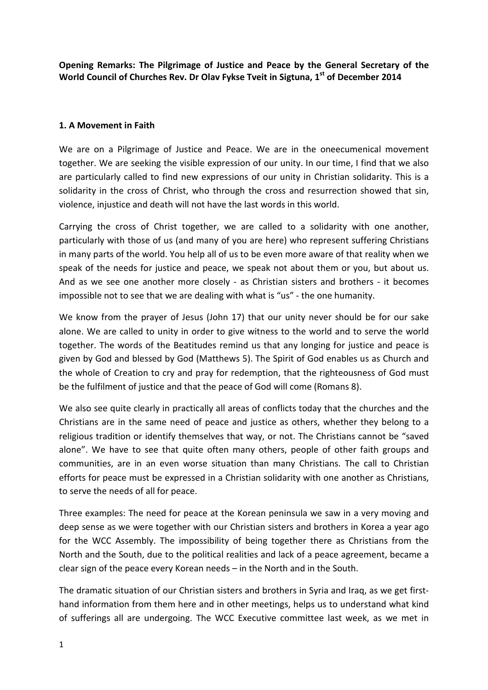**Opening Remarks: The Pilgrimage of Justice and Peace by the General Secretary of the World Council of Churches Rev. Dr Olav Fykse Tveit in Sigtuna, 1st of December 2014**

## **1. A Movement in Faith**

We are on a Pilgrimage of Justice and Peace. We are in the oneecumenical movement together. We are seeking the visible expression of our unity. In our time, I find that we also are particularly called to find new expressions of our unity in Christian solidarity. This is a solidarity in the cross of Christ, who through the cross and resurrection showed that sin, violence, injustice and death will not have the last words in this world.

Carrying the cross of Christ together, we are called to a solidarity with one another, particularly with those of us (and many of you are here) who represent suffering Christians in many parts of the world. You help all of us to be even more aware of that reality when we speak of the needs for justice and peace, we speak not about them or you, but about us. And as we see one another more closely - as Christian sisters and brothers - it becomes impossible not to see that we are dealing with what is "us" - the one humanity.

We know from the prayer of Jesus (John 17) that our unity never should be for our sake alone. We are called to unity in order to give witness to the world and to serve the world together. The words of the Beatitudes remind us that any longing for justice and peace is given by God and blessed by God (Matthews 5). The Spirit of God enables us as Church and the whole of Creation to cry and pray for redemption, that the righteousness of God must be the fulfilment of justice and that the peace of God will come (Romans 8).

We also see quite clearly in practically all areas of conflicts today that the churches and the Christians are in the same need of peace and justice as others, whether they belong to a religious tradition or identify themselves that way, or not. The Christians cannot be "saved alone". We have to see that quite often many others, people of other faith groups and communities, are in an even worse situation than many Christians. The call to Christian efforts for peace must be expressed in a Christian solidarity with one another as Christians, to serve the needs of all for peace.

Three examples: The need for peace at the Korean peninsula we saw in a very moving and deep sense as we were together with our Christian sisters and brothers in Korea a year ago for the WCC Assembly. The impossibility of being together there as Christians from the North and the South, due to the political realities and lack of a peace agreement, became a clear sign of the peace every Korean needs – in the North and in the South.

The dramatic situation of our Christian sisters and brothers in Syria and Iraq, as we get firsthand information from them here and in other meetings, helps us to understand what kind of sufferings all are undergoing. The WCC Executive committee last week, as we met in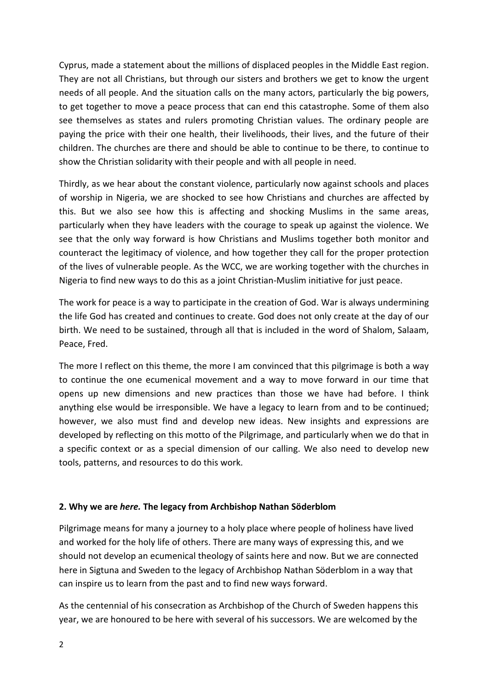Cyprus, made a statement about the millions of displaced peoples in the Middle East region. They are not all Christians, but through our sisters and brothers we get to know the urgent needs of all people. And the situation calls on the many actors, particularly the big powers, to get together to move a peace process that can end this catastrophe. Some of them also see themselves as states and rulers promoting Christian values. The ordinary people are paying the price with their one health, their livelihoods, their lives, and the future of their children. The churches are there and should be able to continue to be there, to continue to show the Christian solidarity with their people and with all people in need.

Thirdly, as we hear about the constant violence, particularly now against schools and places of worship in Nigeria, we are shocked to see how Christians and churches are affected by this. But we also see how this is affecting and shocking Muslims in the same areas, particularly when they have leaders with the courage to speak up against the violence. We see that the only way forward is how Christians and Muslims together both monitor and counteract the legitimacy of violence, and how together they call for the proper protection of the lives of vulnerable people. As the WCC, we are working together with the churches in Nigeria to find new ways to do this as a joint Christian-Muslim initiative for just peace.

The work for peace is a way to participate in the creation of God. War is always undermining the life God has created and continues to create. God does not only create at the day of our birth. We need to be sustained, through all that is included in the word of Shalom, Salaam, Peace, Fred.

The more I reflect on this theme, the more I am convinced that this pilgrimage is both a way to continue the one ecumenical movement and a way to move forward in our time that opens up new dimensions and new practices than those we have had before. I think anything else would be irresponsible. We have a legacy to learn from and to be continued; however, we also must find and develop new ideas. New insights and expressions are developed by reflecting on this motto of the Pilgrimage, and particularly when we do that in a specific context or as a special dimension of our calling. We also need to develop new tools, patterns, and resources to do this work.

## **2. Why we are** *here.* **The legacy from Archbishop Nathan Söderblom**

Pilgrimage means for many a journey to a holy place where people of holiness have lived and worked for the holy life of others. There are many ways of expressing this, and we should not develop an ecumenical theology of saints here and now. But we are connected here in Sigtuna and Sweden to the legacy of Archbishop Nathan Söderblom in a way that can inspire us to learn from the past and to find new ways forward.

As the centennial of his consecration as Archbishop of the Church of Sweden happens this year, we are honoured to be here with several of his successors. We are welcomed by the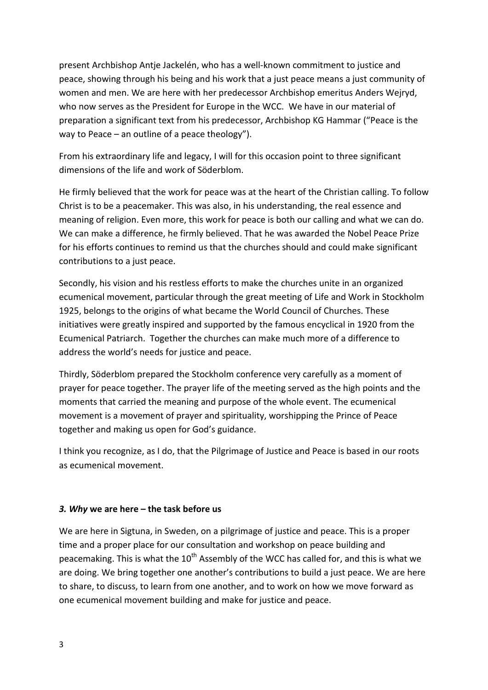present Archbishop Antje Jackelén, who has a well-known commitment to justice and peace, showing through his being and his work that a just peace means a just community of women and men. We are here with her predecessor Archbishop emeritus Anders Wejryd, who now serves as the President for Europe in the WCC. We have in our material of preparation a significant text from his predecessor, Archbishop KG Hammar ("Peace is the way to Peace – an outline of a peace theology").

From his extraordinary life and legacy, I will for this occasion point to three significant dimensions of the life and work of Söderblom.

He firmly believed that the work for peace was at the heart of the Christian calling. To follow Christ is to be a peacemaker. This was also, in his understanding, the real essence and meaning of religion. Even more, this work for peace is both our calling and what we can do. We can make a difference, he firmly believed. That he was awarded the Nobel Peace Prize for his efforts continues to remind us that the churches should and could make significant contributions to a just peace.

Secondly, his vision and his restless efforts to make the churches unite in an organized ecumenical movement, particular through the great meeting of Life and Work in Stockholm 1925, belongs to the origins of what became the World Council of Churches. These initiatives were greatly inspired and supported by the famous encyclical in 1920 from the Ecumenical Patriarch. Together the churches can make much more of a difference to address the world's needs for justice and peace.

Thirdly, Söderblom prepared the Stockholm conference very carefully as a moment of prayer for peace together. The prayer life of the meeting served as the high points and the moments that carried the meaning and purpose of the whole event. The ecumenical movement is a movement of prayer and spirituality, worshipping the Prince of Peace together and making us open for God's guidance.

I think you recognize, as I do, that the Pilgrimage of Justice and Peace is based in our roots as ecumenical movement.

## *3. Why* **we are here – the task before us**

We are here in Sigtuna, in Sweden, on a pilgrimage of justice and peace. This is a proper time and a proper place for our consultation and workshop on peace building and peacemaking. This is what the  $10^{th}$  Assembly of the WCC has called for, and this is what we are doing. We bring together one another's contributions to build a just peace. We are here to share, to discuss, to learn from one another, and to work on how we move forward as one ecumenical movement building and make for justice and peace.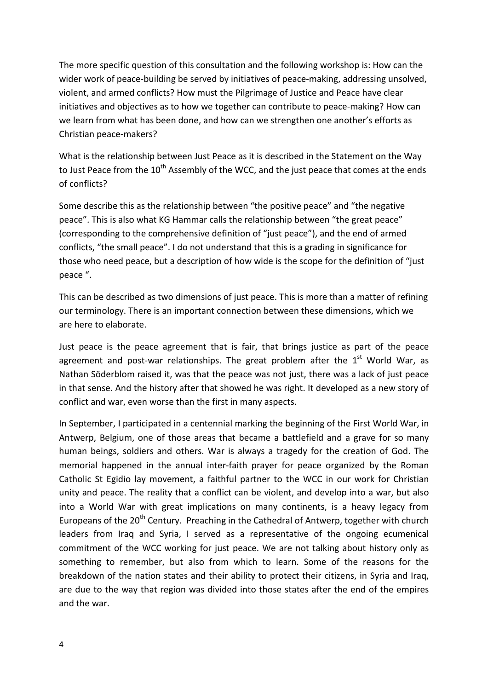The more specific question of this consultation and the following workshop is: How can the wider work of peace-building be served by initiatives of peace-making, addressing unsolved, violent, and armed conflicts? How must the Pilgrimage of Justice and Peace have clear initiatives and objectives as to how we together can contribute to peace-making? How can we learn from what has been done, and how can we strengthen one another's efforts as Christian peace-makers?

What is the relationship between Just Peace as it is described in the Statement on the Way to Just Peace from the  $10^{th}$  Assembly of the WCC, and the just peace that comes at the ends of conflicts?

Some describe this as the relationship between "the positive peace" and "the negative peace". This is also what KG Hammar calls the relationship between "the great peace" (corresponding to the comprehensive definition of "just peace"), and the end of armed conflicts, "the small peace". I do not understand that this is a grading in significance for those who need peace, but a description of how wide is the scope for the definition of "just peace ".

This can be described as two dimensions of just peace. This is more than a matter of refining our terminology. There is an important connection between these dimensions, which we are here to elaborate.

Just peace is the peace agreement that is fair, that brings justice as part of the peace agreement and post-war relationships. The great problem after the  $1<sup>st</sup>$  World War, as Nathan Söderblom raised it, was that the peace was not just, there was a lack of just peace in that sense. And the history after that showed he was right. It developed as a new story of conflict and war, even worse than the first in many aspects.

In September, I participated in a centennial marking the beginning of the First World War, in Antwerp, Belgium, one of those areas that became a battlefield and a grave for so many human beings, soldiers and others. War is always a tragedy for the creation of God. The memorial happened in the annual inter-faith prayer for peace organized by the Roman Catholic St Egidio lay movement, a faithful partner to the WCC in our work for Christian unity and peace. The reality that a conflict can be violent, and develop into a war, but also into a World War with great implications on many continents, is a heavy legacy from Europeans of the 20<sup>th</sup> Century. Preaching in the Cathedral of Antwerp, together with church leaders from Iraq and Syria, I served as a representative of the ongoing ecumenical commitment of the WCC working for just peace. We are not talking about history only as something to remember, but also from which to learn. Some of the reasons for the breakdown of the nation states and their ability to protect their citizens, in Syria and Iraq, are due to the way that region was divided into those states after the end of the empires and the war.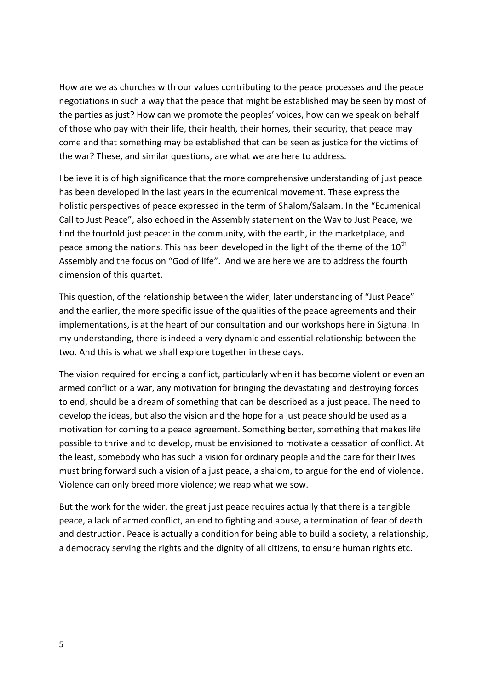How are we as churches with our values contributing to the peace processes and the peace negotiations in such a way that the peace that might be established may be seen by most of the parties as just? How can we promote the peoples' voices, how can we speak on behalf of those who pay with their life, their health, their homes, their security, that peace may come and that something may be established that can be seen as justice for the victims of the war? These, and similar questions, are what we are here to address.

I believe it is of high significance that the more comprehensive understanding of just peace has been developed in the last years in the ecumenical movement. These express the holistic perspectives of peace expressed in the term of Shalom/Salaam. In the "Ecumenical Call to Just Peace", also echoed in the Assembly statement on the Way to Just Peace, we find the fourfold just peace: in the community, with the earth, in the marketplace, and peace among the nations. This has been developed in the light of the theme of the  $10<sup>th</sup>$ Assembly and the focus on "God of life". And we are here we are to address the fourth dimension of this quartet.

This question, of the relationship between the wider, later understanding of "Just Peace" and the earlier, the more specific issue of the qualities of the peace agreements and their implementations, is at the heart of our consultation and our workshops here in Sigtuna. In my understanding, there is indeed a very dynamic and essential relationship between the two. And this is what we shall explore together in these days.

The vision required for ending a conflict, particularly when it has become violent or even an armed conflict or a war, any motivation for bringing the devastating and destroying forces to end, should be a dream of something that can be described as a just peace. The need to develop the ideas, but also the vision and the hope for a just peace should be used as a motivation for coming to a peace agreement. Something better, something that makes life possible to thrive and to develop, must be envisioned to motivate a cessation of conflict. At the least, somebody who has such a vision for ordinary people and the care for their lives must bring forward such a vision of a just peace, a shalom, to argue for the end of violence. Violence can only breed more violence; we reap what we sow.

But the work for the wider, the great just peace requires actually that there is a tangible peace, a lack of armed conflict, an end to fighting and abuse, a termination of fear of death and destruction. Peace is actually a condition for being able to build a society, a relationship, a democracy serving the rights and the dignity of all citizens, to ensure human rights etc.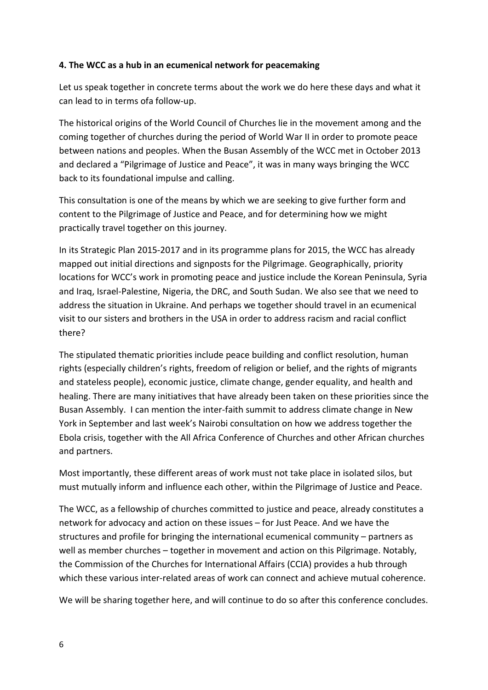## **4. The WCC as a hub in an ecumenical network for peacemaking**

Let us speak together in concrete terms about the work we do here these days and what it can lead to in terms ofa follow-up.

The historical origins of the World Council of Churches lie in the movement among and the coming together of churches during the period of World War II in order to promote peace between nations and peoples. When the Busan Assembly of the WCC met in October 2013 and declared a "Pilgrimage of Justice and Peace", it was in many ways bringing the WCC back to its foundational impulse and calling.

This consultation is one of the means by which we are seeking to give further form and content to the Pilgrimage of Justice and Peace, and for determining how we might practically travel together on this journey.

In its Strategic Plan 2015-2017 and in its programme plans for 2015, the WCC has already mapped out initial directions and signposts for the Pilgrimage. Geographically, priority locations for WCC's work in promoting peace and justice include the Korean Peninsula, Syria and Iraq, Israel-Palestine, Nigeria, the DRC, and South Sudan. We also see that we need to address the situation in Ukraine. And perhaps we together should travel in an ecumenical visit to our sisters and brothers in the USA in order to address racism and racial conflict there?

The stipulated thematic priorities include peace building and conflict resolution, human rights (especially children's rights, freedom of religion or belief, and the rights of migrants and stateless people), economic justice, climate change, gender equality, and health and healing. There are many initiatives that have already been taken on these priorities since the Busan Assembly. I can mention the inter-faith summit to address climate change in New York in September and last week's Nairobi consultation on how we address together the Ebola crisis, together with the All Africa Conference of Churches and other African churches and partners.

Most importantly, these different areas of work must not take place in isolated silos, but must mutually inform and influence each other, within the Pilgrimage of Justice and Peace.

The WCC, as a fellowship of churches committed to justice and peace, already constitutes a network for advocacy and action on these issues – for Just Peace. And we have the structures and profile for bringing the international ecumenical community – partners as well as member churches – together in movement and action on this Pilgrimage. Notably, the Commission of the Churches for International Affairs (CCIA) provides a hub through which these various inter-related areas of work can connect and achieve mutual coherence.

We will be sharing together here, and will continue to do so after this conference concludes.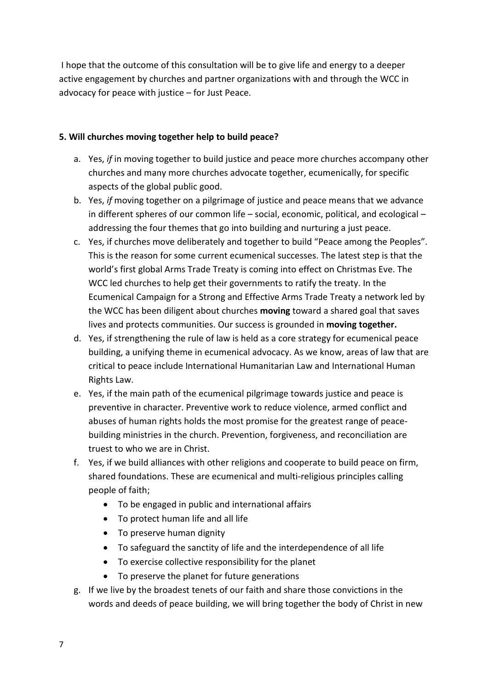I hope that the outcome of this consultation will be to give life and energy to a deeper active engagement by churches and partner organizations with and through the WCC in advocacy for peace with justice – for Just Peace.

# **5. Will churches moving together help to build peace?**

- a. Yes, *if* in moving together to build justice and peace more churches accompany other churches and many more churches advocate together, ecumenically, for specific aspects of the global public good.
- b. Yes, *if* moving together on a pilgrimage of justice and peace means that we advance in different spheres of our common life – social, economic, political, and ecological – addressing the four themes that go into building and nurturing a just peace.
- c. Yes, if churches move deliberately and together to build "Peace among the Peoples". This is the reason for some current ecumenical successes. The latest step is that the world's first global Arms Trade Treaty is coming into effect on Christmas Eve. The WCC led churches to help get their governments to ratify the treaty. In the Ecumenical Campaign for a Strong and Effective Arms Trade Treaty a network led by the WCC has been diligent about churches **moving** toward a shared goal that saves lives and protects communities. Our success is grounded in **moving together.**
- d. Yes, if strengthening the rule of law is held as a core strategy for ecumenical peace building, a unifying theme in ecumenical advocacy. As we know, areas of law that are critical to peace include International Humanitarian Law and International Human Rights Law.
- e. Yes, if the main path of the ecumenical pilgrimage towards justice and peace is preventive in character. Preventive work to reduce violence, armed conflict and abuses of human rights holds the most promise for the greatest range of peacebuilding ministries in the church. Prevention, forgiveness, and reconciliation are truest to who we are in Christ.
- f. Yes, if we build alliances with other religions and cooperate to build peace on firm, shared foundations. These are ecumenical and multi-religious principles calling people of faith;
	- To be engaged in public and international affairs
	- To protect human life and all life
	- To preserve human dignity
	- To safeguard the sanctity of life and the interdependence of all life
	- To exercise collective responsibility for the planet
	- To preserve the planet for future generations
- g. If we live by the broadest tenets of our faith and share those convictions in the words and deeds of peace building, we will bring together the body of Christ in new